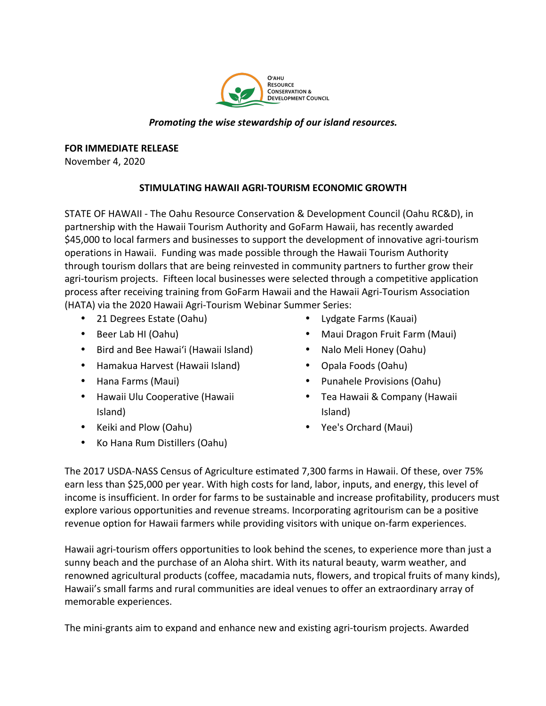

## *Promoting the wise stewardship of our island resources.*

**FOR IMMEDIATE RELEASE** 

November 4, 2020

## **STIMULATING HAWAII AGRI-TOURISM ECONOMIC GROWTH**

STATE OF HAWAII - The Oahu Resource Conservation & Development Council (Oahu RC&D), in partnership with the Hawaii Tourism Authority and GoFarm Hawaii, has recently awarded \$45,000 to local farmers and businesses to support the development of innovative agri-tourism operations in Hawaii. Funding was made possible through the Hawaii Tourism Authority through tourism dollars that are being reinvested in community partners to further grow their agri-tourism projects. Fifteen local businesses were selected through a competitive application process after receiving training from GoFarm Hawaii and the Hawaii Agri-Tourism Association (HATA) via the 2020 Hawaii Agri-Tourism Webinar Summer Series:

- 21 Degrees Estate (Oahu)
- Beer Lab HI (Oahu)
- Bird and Bee Hawai'i (Hawaii Island)
- Hamakua Harvest (Hawaii Island)
- Hana Farms (Maui)
- Hawaii Ulu Cooperative (Hawaii Island)
- Keiki and Plow (Oahu)
- Ko Hana Rum Distillers (Oahu)
- Lydgate Farms (Kauai)
- Maui Dragon Fruit Farm (Maui)
- Nalo Meli Honey (Oahu)
- Opala Foods (Oahu)
- Punahele Provisions (Oahu)
- Tea Hawaii & Company (Hawaii Island)
- Yee's Orchard (Maui)

The 2017 USDA-NASS Census of Agriculture estimated 7,300 farms in Hawaii. Of these, over 75% earn less than \$25,000 per year. With high costs for land, labor, inputs, and energy, this level of income is insufficient. In order for farms to be sustainable and increase profitability, producers must explore various opportunities and revenue streams. Incorporating agritourism can be a positive revenue option for Hawaii farmers while providing visitors with unique on-farm experiences.

Hawaii agri-tourism offers opportunities to look behind the scenes, to experience more than just a sunny beach and the purchase of an Aloha shirt. With its natural beauty, warm weather, and renowned agricultural products (coffee, macadamia nuts, flowers, and tropical fruits of many kinds), Hawaii's small farms and rural communities are ideal venues to offer an extraordinary array of memorable experiences.

The mini-grants aim to expand and enhance new and existing agri-tourism projects. Awarded